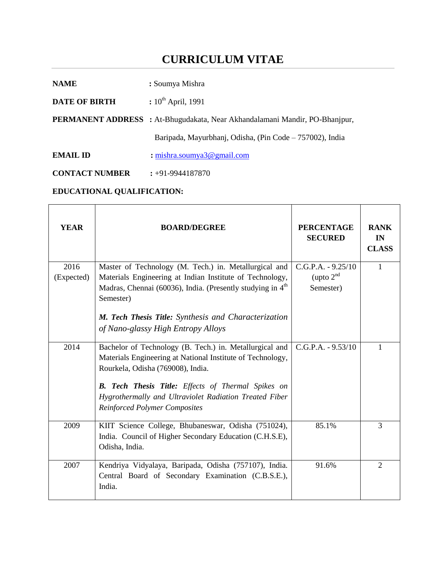# **CURRICULUM VITAE**

| <b>NAME</b>          | : Soumya Mishra                                                                    |  |  |
|----------------------|------------------------------------------------------------------------------------|--|--|
| <b>DATE OF BIRTH</b> | : $10^{th}$ April, 1991                                                            |  |  |
|                      | <b>PERMANENT ADDRESS</b> : At-Bhugudakata, Near Akhandalamani Mandir, PO-Bhanjpur, |  |  |
|                      | Baripada, Mayurbhanj, Odisha, (Pin Code – 757002), India                           |  |  |
| <b>EMAIL ID</b>      | : mishra.soumya $3@$ gmail.com                                                     |  |  |

**CONTACT NUMBER :** +91-9944187870

## **EDUCATIONAL QUALIFICATION:**

| <b>YEAR</b> | <b>BOARD/DEGREE</b>                                                                                                                                                                                                     | <b>PERCENTAGE</b><br><b>SECURED</b> | <b>RANK</b><br>IN<br><b>CLASS</b> |
|-------------|-------------------------------------------------------------------------------------------------------------------------------------------------------------------------------------------------------------------------|-------------------------------------|-----------------------------------|
| 2016        | Master of Technology (M. Tech.) in. Metallurgical and                                                                                                                                                                   | $C.G.P.A. - 9.25/10$                | $\mathbf{1}$                      |
| (Expected)  | Materials Engineering at Indian Institute of Technology,                                                                                                                                                                | (upto $2nd$                         |                                   |
|             | Madras, Chennai (60036), India. (Presently studying in 4 <sup>th</sup>                                                                                                                                                  | Semester)                           |                                   |
|             | Semester)                                                                                                                                                                                                               |                                     |                                   |
|             | M. Tech Thesis Title: Synthesis and Characterization                                                                                                                                                                    |                                     |                                   |
|             | of Nano-glassy High Entropy Alloys                                                                                                                                                                                      |                                     |                                   |
| 2014        | Bachelor of Technology (B. Tech.) in. Metallurgical and<br>Materials Engineering at National Institute of Technology,<br>Rourkela, Odisha (769008), India.<br><b>B. Tech Thesis Title:</b> Effects of Thermal Spikes on | $C.G.P.A. - 9.53/10$                | 1                                 |
|             | Hygrothermally and Ultraviolet Radiation Treated Fiber<br><b>Reinforced Polymer Composites</b>                                                                                                                          |                                     |                                   |
| 2009        | KIIT Science College, Bhubaneswar, Odisha (751024),<br>India. Council of Higher Secondary Education (C.H.S.E),<br>Odisha, India.                                                                                        | 85.1%                               | 3                                 |
| 2007        | Kendriya Vidyalaya, Baripada, Odisha (757107), India.<br>Central Board of Secondary Examination (C.B.S.E.),<br>India.                                                                                                   | 91.6%                               | $\overline{2}$                    |